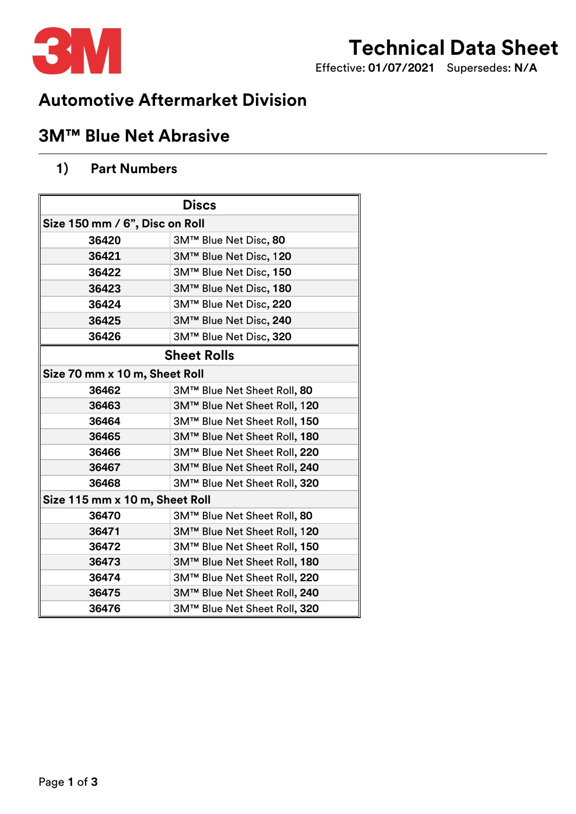

# **Technical Data Sheet**

Effective: **01/07/2021** Supersedes: **N/A**

## **Automotive Aftermarket Division**

### **3M™ Blue Net Abrasive**

### **1) Part Numbers**

| <b>Discs</b>                   |                              |
|--------------------------------|------------------------------|
| Size 150 mm / 6", Disc on Roll |                              |
| 36420                          | 3M™ Blue Net Disc, 80        |
| 36421                          | 3M™ Blue Net Disc, 120       |
| 36422                          | 3M™ Blue Net Disc, 150       |
| 36423                          | 3M™ Blue Net Disc, 180       |
| 36424                          | 3M™ Blue Net Disc, 220       |
| 36425                          | 3M™ Blue Net Disc, 240       |
| 36426                          | 3M™ Blue Net Disc, 320       |
| <b>Sheet Rolls</b>             |                              |
| Size 70 mm x 10 m, Sheet Roll  |                              |
| 36462                          | 3M™ Blue Net Sheet Roll, 80  |
| 36463                          | 3M™ Blue Net Sheet Roll, 120 |
| 36464                          | 3M™ Blue Net Sheet Roll, 150 |
| 36465                          | 3M™ Blue Net Sheet Roll, 180 |
| 36466                          | 3M™ Blue Net Sheet Roll, 220 |
| 36467                          | 3M™ Blue Net Sheet Roll, 240 |
| 36468                          | 3M™ Blue Net Sheet Roll, 320 |
| Size 115 mm x 10 m, Sheet Roll |                              |
| 36470                          | 3M™ Blue Net Sheet Roll, 80  |
| 36471                          | 3M™ Blue Net Sheet Roll, 120 |
| 36472                          | 3M™ Blue Net Sheet Roll, 150 |
| 36473                          | 3M™ Blue Net Sheet Roll, 180 |
| 36474                          | 3M™ Blue Net Sheet Roll, 220 |
| 36475                          | 3M™ Blue Net Sheet Roll, 240 |
| 36476                          | 3M™ Blue Net Sheet Roll, 320 |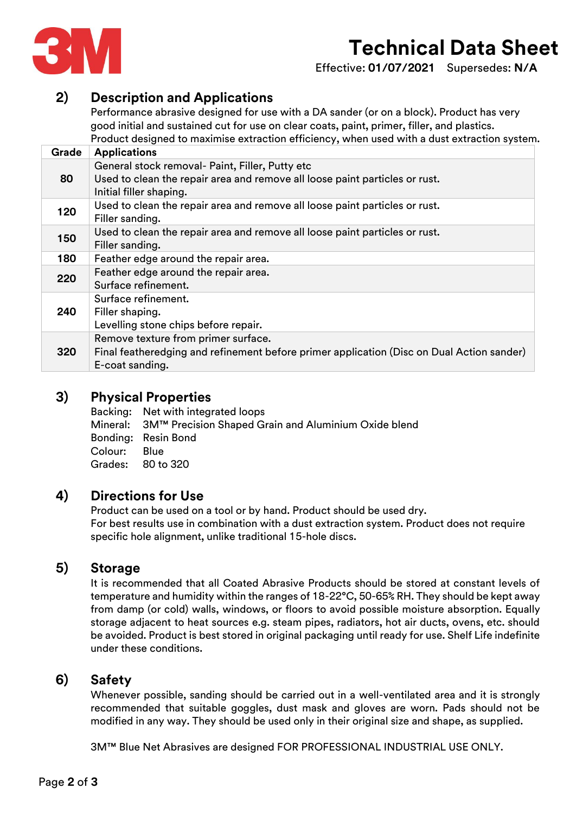

# **Technical Data Sheet**

Effective: **01/07/2021** Supersedes: **N/A**

#### **2) Description and Applications**

Performance abrasive designed for use with a DA sander (or on a block). Product has very good initial and sustained cut for use on clear coats, paint, primer, filler, and plastics. Product designed to maximise extraction efficiency, when used with a dust extraction system.

| Grade | <b>Applications</b>                                                                                                                                       |
|-------|-----------------------------------------------------------------------------------------------------------------------------------------------------------|
| 80    | General stock removal- Paint, Filler, Putty etc<br>Used to clean the repair area and remove all loose paint particles or rust.<br>Initial filler shaping. |
| 120   | Used to clean the repair area and remove all loose paint particles or rust.<br>Filler sanding.                                                            |
| 150   | Used to clean the repair area and remove all loose paint particles or rust.<br>Filler sanding.                                                            |
| 180   | Feather edge around the repair area.                                                                                                                      |
| 220   | Feather edge around the repair area.<br>Surface refinement.                                                                                               |
| 240   | Surface refinement.<br>Filler shaping.<br>Levelling stone chips before repair.                                                                            |
| 320   | Remove texture from primer surface.<br>Final featheredging and refinement before primer application (Disc on Dual Action sander)<br>E-coat sanding.       |

#### **3) Physical Properties**

Backing: Net with integrated loops Mineral: 3M™ Precision Shaped Grain and Aluminium Oxide blend Bonding: Resin Bond Colour: Blue Grades: 80 to 320

#### **4) Directions for Use**

Product can be used on a tool or by hand. Product should be used dry. For best results use in combination with a dust extraction system. Product does not require specific hole alignment, unlike traditional 15-hole discs.

#### **5) Storage**

It is recommended that all Coated Abrasive Products should be stored at constant levels of temperature and humidity within the ranges of 18-22°C, 50-65% RH. They should be kept away from damp (or cold) walls, windows, or floors to avoid possible moisture absorption. Equally storage adjacent to heat sources e.g. steam pipes, radiators, hot air ducts, ovens, etc. should be avoided. Product is best stored in original packaging until ready for use. Shelf Life indefinite under these conditions.

#### **6) Safety**

Whenever possible, sanding should be carried out in a well-ventilated area and it is strongly recommended that suitable goggles, dust mask and gloves are worn. Pads should not be modified in any way. They should be used only in their original size and shape, as supplied.

3M™ Blue Net Abrasives are designed FOR PROFESSIONAL INDUSTRIAL USE ONLY.